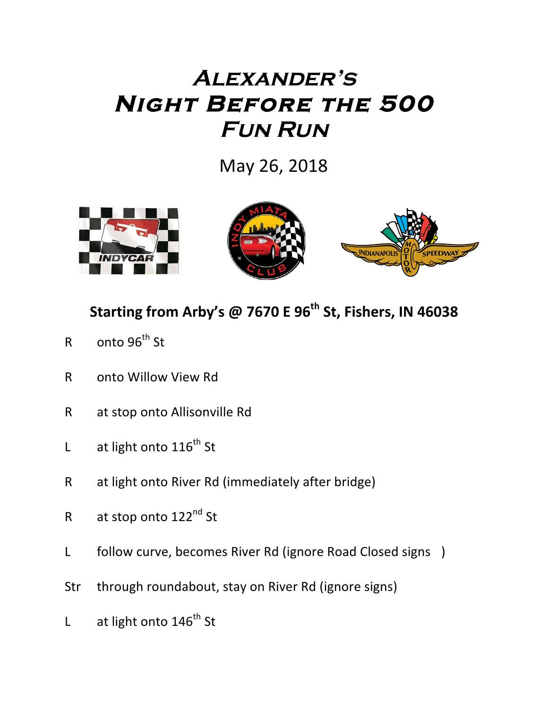## **Alexander's Night Before the 500 Fun Run**

May 26, 2018



## **Starting from Arby's @ 7670 E 96<sup>th</sup> St, Fishers, IN 46038**

- $R$  onto  $96^{th}$  St
- R onto Willow View Rd
- R at stop onto Allisonville Rd
- L at light onto  $116^{th}$  St
- R at light onto River Rd (immediately after bridge)
- R at stop onto 122<sup>nd</sup> St
- L follow curve, becomes River Rd (ignore Road Closed signs )
- Str through roundabout, stay on River Rd (ignore signs)
- L at light onto  $146^{th}$  St